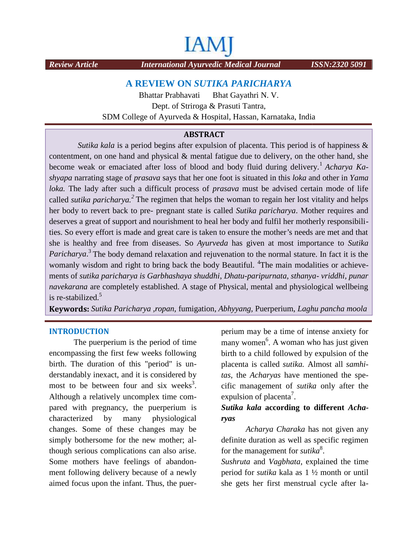# IАN

*Review Article International Ayurvedic Medical Journal ISSN:2320 5091*

### **A REVIEW ON** *SUTIKA PARICHARYA*

Bhattar Prabhavati Bhat Gayathri N. V. Dept. of Striroga & Prasuti Tantra, SDM College of Ayurveda & Hospital, Hassan, Karnataka, India

#### **ABSTRACT**

*Sutika kala* is a period begins after expulsion of placenta. This period is of happiness & contentment, on one hand and physical & mental fatigue due to delivery, on the other hand, she become weak or emaciated after loss of blood and body fluid during delivery.<sup>1</sup> *Acharya Kashyapa* narrating stage of *prasava* says that her one foot is situated in this *loka* and other in *Yama loka.* The lady after such a difficult process of *prasava* must be advised certain mode of life called *sutika paricharya.<sup>2</sup>* The regimen that helps the woman to regain her lost vitality and helps her body to revert back to pre- pregnant state is called *Sutika paricharya*. Mother requires and deserves a great of support and nourishment to heal her body and fulfil her motherly responsibilities. So every effort is made and great care is taken to ensure the mother's needs are met and that she is healthy and free from diseases. So *Ayurveda* has given at most importance to *Sutika Paricharya*<sup>3</sup>. The body demand relaxation and rejuvenation to the normal stature. In fact it is the womanly wisdom and right to bring back the body Beautiful. <sup>4</sup>The main modalities or achievements of *sutika paricharya is Garbhashaya shuddhi*, *Dhatu-paripurnata, sthanya- vriddhi, punar navekarana* are completely established. A stage of Physical, mental and physiological wellbeing is re-stabilized.<sup>5</sup> **SDM College of Ayurveda & Hos**<br> **ABSTRA**<br> **ABSTRA**<br> **ABSTRA**<br> **ABSTRA**<br> **ABSTRA**<br> **ABSTRA**<br> **Station** and and physical & mental<br>
weak or emaciated after loss of blood a<br>
arrating stage of *prasava* says that her one<br> **c** a uncomplex puerperiumchanges. Some may behave delivery a newlythe a A a of is have 7**according to**  has regimenformonthgets first *Medical Journal ISSN:2320 5091kala*placenta.&and mental other or emaciated loss of delivery.in *loka*other in a of*2*helps the regain requires her body motherly So and to are met from has given at to is thewomanly wisdom right to body or *navekarana* A wellbeing ment to heal her body<br>are is taken to ensure<br>. So Ayurveda has g<br>ion and rejuvenation to<br>ack the body Beautifu<br>laya shuddhi, Dhatu-p<br>. A stage of Physical,<br>fumigation, Abhyyang

**Keywords:** *Sutika Paricharya ,ropan,* fumigation*, Abhyyang,* Puerperium, *Laghu pancha moola*

#### **INTRODUCTION**

The puerperium is the period of time encompassing the first few weeks following birth. The duration of this "period" is un derstandably inexact, and it is considered by most to be between four and six weeks<sup>3</sup>. Although a relatively uncomplex time com pared with pregnancy, the puerperium is characterized by many physiological changes. Some of these changes may be simply bothersome for the new mother; although serious complications can also arise. Some mothers have feelings of abandon ment following delivery because of a newly aimed focus upon the infant. Thus, the puerperium may be a time of intense anxiety for many women<sup>6</sup>. A woman who has just given birth to a child followed by expulsion of the placenta is called *sutika.* Almost all *samhitas*, the *Acharyas* have mentioned the spe cific management of *sutika* only after the expulsion of placenta<sup>7</sup>.

### *Sutika kala* **according to different** *Acha ryas*

*Acharya Charaka* has not given any definite duration as well as specific regimen for the management for *sutika*<sup>8</sup>.

*Sushruta* and *Vagbhata*, explained the time period for *sutika* kala as 1 ½ month or until she gets her first menstrual cycle after la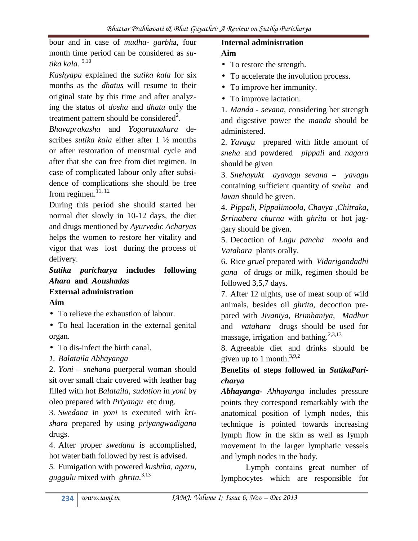bour and in case of *mudha- garbh*a, four month time period can be considered as *sutika kala.* 9,10

*Kashyapa* explained the *sutika kala* for six months as the *dhatus* will resume to their original state by this time and after analyzing the status of *dosha* and *dhatu* only the treatment pattern should be considered $^2$ .

*Bhavaprakasha* and *Yogaratnakara* de scribes *sutika kala* either after 1 ½ months or after restoration of menstrual cycle and after that she can free from diet regimen. In case of complicated labour only after subsi dence of complications she should be free from regimen. $^{11, 12}$ 

During this period she should started her normal diet slowly in 10-12 days, the diet and drugs mentioned by *Ayurvedic Acharyas* helps the women to restore her vitality and vigor that was lost during the process of delivery.

### *Sutika paricharya* **includes following** *Ahara* **and** *Aoushadas* **External administration Aim**

- To relieve the exhaustion of labour.
- To heal laceration in the external genital organ.
- To dis-infect the birth canal.
- *1. Balataila Abhayanga*

2. *Yoni – snehana* puerperal woman should sit over small chair covered with leather bag filled with hot *Balataila, sudation* in *yoni* by oleo prepared with *Priyangu* etc drug.

3. *Swedana* in *yoni* is executed with *kri shara* prepared by using *priyangwadigana* drugs.

4. After proper *swedana* is accomplished, hot water bath followed by rest is advised.

*5.* Fumigation with powered *kushtha, agaru, guggulu* mixed with *ghrita.*3,13

## **Internal administration**

# **Aim**

- To restore the strength.
- To accelerate the involution process.
- To improve her immunity.
- To improve lactation.

1. *Manda - sevana*, considering her strength and digestive power the *manda* should be administered.

2. *Yavagu* prepared with little amount of *sneha* and powdered *pippali* and *nagara* should be given

3. *Snehayukt ayavagu sevana – yavagu* containing sufficient quantity of *sneha* and *lavan* should be given.

4. *Pippali, Pippalimoola, Chavya ,Chitraka, Srrinabera churna* with *ghrita* or hot jag gary should be given.

5. Decoction of *Lagu pancha moola* and *Vatahara* plants orally.

6. Rice *gruel* prepared with *Vidarigandadhi gana* of drugs or milk, regimen should be followed 3,5,7 days.

7. After 12 nights, use of meat soup of wild animals, besides oil *ghrita*, decoction pre pared with *Jivaniya, Brimhaniya*, *Madhur* and *vatahara* drugs should be used for massage, irrigation and bathing.<sup>2,3,13</sup>

8. Agreeable diet and drinks should be given up to 1 month. $3,9,2$ 

### **Benefits of steps followed in** *SutikaPari charya*

*Abhayanga***-** *Ahhayanga* includes pressure points they correspond remarkably with the anatomical position of lymph nodes, this technique is pointed towards increasing lymph flow in the skin as well as lymph movement in the larger lymphatic vessels and lymph nodes in the body.

Lymph contains great number of lymphocytes which are responsible for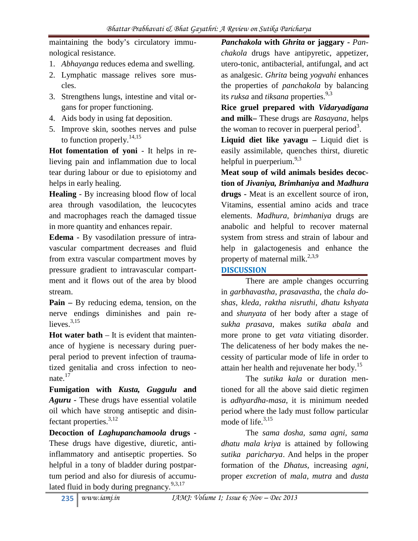maintaining the body's circulatory immu nological resistance.

- 1. *Abhayanga* reduces edema and swelling.
- 2. Lymphatic massage relives sore mus cles.
- 3. Strengthens lungs, intestine and vital or gans for proper functioning.
- 4. Aids body in using fat deposition.
- 5. Improve skin, soothes nerves and pulse to function properly.<sup>14,15</sup>

**Hot fomentation of yoni** - It helps in relieving pain and inflammation due to local tear during labour or due to episiotomy and helps in early healing.

**Healing** - By increasing blood flow of local area through vasodilation, the leucocytes and macrophages reach the damaged tissue in more quantity and enhances repair.

**Edema -** By vasodilation pressure of intra vascular compartment decreases and fluid from extra vascular compartment moves by pressure gradient to intravascular compart ment and it flows out of the area by blood stream.

**Pain –** By reducing edema, tension, on the nerve endings diminishes and pain relieves. $3,15$ 

**Hot water bath** – It is evident that mainten ance of hygiene is necessary during puer peral period to prevent infection of traumatized genitalia and cross infection to neo nate.<sup>17</sup>

**Fumigation with** *Kusta, Guggulu* **and** *Aguru -* These drugs have essential volatile oil which have strong antiseptic and disinfectant properties. $^{3,12}$ 

**Decoction of** *Laghupanchamoola* **drugs -** These drugs have digestive, diuretic, antiinflammatory and antiseptic properties. So helpful in a tony of bladder during postpartum period and also for diuresis of accumulated fluid in body during pregnancy.<sup>9,3,17</sup>

*Panchakola* **with** *Ghrita* **or jaggary -** *Pan chakola* drugs have antipyretic, appetizer, utero-tonic, antibacterial, antifungal, and act as analgesic. *Ghrita* being *yogvahi* enhances the properties of *panchakola* by balancing its *ruksa* and *tiksana* properties.<sup>9,3</sup>

**Rice gruel prepared with** *Vidaryadigana* **and milk–** These drugs are *Rasayana*, helps the woman to recover in puerperal period<sup>3</sup>.

**Liquid diet like yavagu –** Liquid diet is easily assimilable, quenches thirst, diuretic helpful in puerperium. $9,3$ 

**Meat soup of wild animals besides decoction of** *Jivaniya, Brimhaniya* **and** *Madhura* **drugs -** Meat is an excellent source of iron, Vitamins, essential amino acids and trace elements. *Madhura, brimhaniya* drugs are anabolic and helpful to recover maternal system from stress and strain of labour and help in galactogenesis and enhance the property of maternal milk.<sup>2,3,9</sup>

### **DISCUSSION**

There are ample changes occurring in *garbhavastha*, *prasavastha,* the *chala do shas*, *kleda, raktha nisruthi, dhatu kshyata* and *shunyata* of her body after a stage of *sukha prasava,* makes *sutika abala* and more prone to get *vata* vitiating disorder. The delicateness of her body makes the ne cessity of particular mode of life in order to attain her health and rejuvenate her body.<sup>15</sup>

The *sutika kala* or duration mentioned for all the above said dietic regimen is *adhyardha-masa*, it is minimum needed period where the lady must follow particular mode of life. $3,15$ 

The *sama dosha, sama agni, sama dhatu mala kriya* is attained by following *sutika paricharya*. And helps in the proper formation of the *Dhatus*, increasing *agni,* proper *excretion* of *mala, mutra* and *dusta*